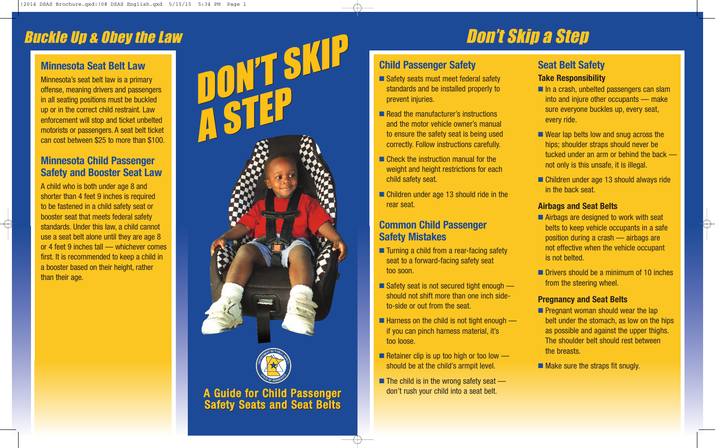### Buckle Up & Obey the Law

#### **Minnesota Seat Belt Law**

Minnesota's seat belt law is a primary offense, meaning drivers and passengers in all seating positions must be buckled up or in the correct child restraint. Law enforcement will stop and ticket unbelted motorists or passengers. A seat belt ticket can cost between \$25 to more than \$100.

#### **Minnesota Child Passenger Safety and Booster Seat Law**

A child who is both under age 8 and shorter than 4 feet 9 inches is required to be fastened in a child safety seat or booster seat that meets federal safety standards. Under this law, a child cannot use a seat belt alone until they are age 8 or 4 feet 9 inches tall — whichever comes first. It is recommended to keep a child in a booster based on their height, rather than their age.





# Don't Skip a Step

#### **Child Passenger Safety**

- Safety seats must meet federal safety standards and be installed properly to prevent injuries.
- Read the manufacturer's instructions and the motor vehicle owner's manual to ensure the safety seat is being used correctly. Follow instructions carefully.
- Check the instruction manual for the weight and height restrictions for each child safety seat.
- Children under age 13 should ride in the rear seat.

#### **Common Child Passenger Safety Mistakes**

- Turning a child from a rear-facing safety seat to a forward-facing safety seat too soon.
- Safety seat is not secured tight enough should not shift more than one inch sideto-side or out from the seat.
- Harness on the child is not tight enough if you can pinch harness material, it's too loose.
- Retainer clip is up too high or too low should be at the child's armpit level.
- The child is in the wrong safety seat don't rush your child into a seat belt.

#### **Seat Belt Safety**

#### **Take Responsibility**

- In a crash, unbelted passengers can slam into and injure other occupants — make sure everyone buckles up, every seat, every ride.
- Wear lap belts low and snug across the hips; shoulder straps should never be tucked under an arm or behind the back not only is this unsafe, it is illegal.
- Children under age 13 should always ride in the back seat.

#### **Airbags and Seat Belts**

- Airbags are designed to work with seat belts to keep vehicle occupants in a safe position during a crash — airbags are not effective when the vehicle occupant is not belted.
- Drivers should be a minimum of 10 inches from the steering wheel.

#### **Pregnancy and Seat Belts**

- Pregnant woman should wear the lap belt under the stomach, as low on the hips as possible and against the upper thighs. The shoulder belt should rest between the breasts.
- Make sure the straps fit snugly.